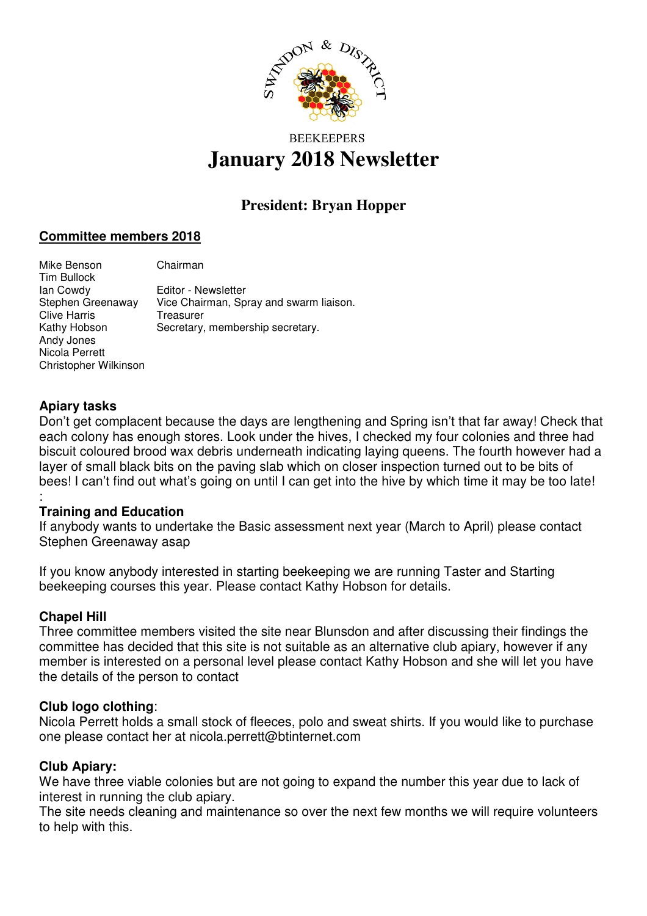

# **BEEKEEPERS January 2018 Newsletter**

# **President: Bryan Hopper**

## **Committee members 2018**

Mike Benson Chairman Tim Bullock Ian Cowdy Editor - Newsletter Stephen Greenaway Vice Chairman, Spray and swarm liaison. Clive Harris **Treasurer**<br> **Kathy Hobson** Secretary Secretary, membership secretary. Andy Jones Nicola Perrett Christopher Wilkinson

### **Apiary tasks**

Don't get complacent because the days are lengthening and Spring isn't that far away! Check that each colony has enough stores. Look under the hives, I checked my four colonies and three had biscuit coloured brood wax debris underneath indicating laying queens. The fourth however had a layer of small black bits on the paving slab which on closer inspection turned out to be bits of bees! I can't find out what's going on until I can get into the hive by which time it may be too late! :

#### **Training and Education**

If anybody wants to undertake the Basic assessment next year (March to April) please contact Stephen Greenaway asap

If you know anybody interested in starting beekeeping we are running Taster and Starting beekeeping courses this year. Please contact Kathy Hobson for details.

#### **Chapel Hill**

Three committee members visited the site near Blunsdon and after discussing their findings the committee has decided that this site is not suitable as an alternative club apiary, however if any member is interested on a personal level please contact Kathy Hobson and she will let you have the details of the person to contact

#### **Club logo clothing**:

Nicola Perrett holds a small stock of fleeces, polo and sweat shirts. If you would like to purchase one please contact her at nicola.perrett@btinternet.com

#### **Club Apiary:**

We have three viable colonies but are not going to expand the number this year due to lack of interest in running the club apiary.

The site needs cleaning and maintenance so over the next few months we will require volunteers to help with this.